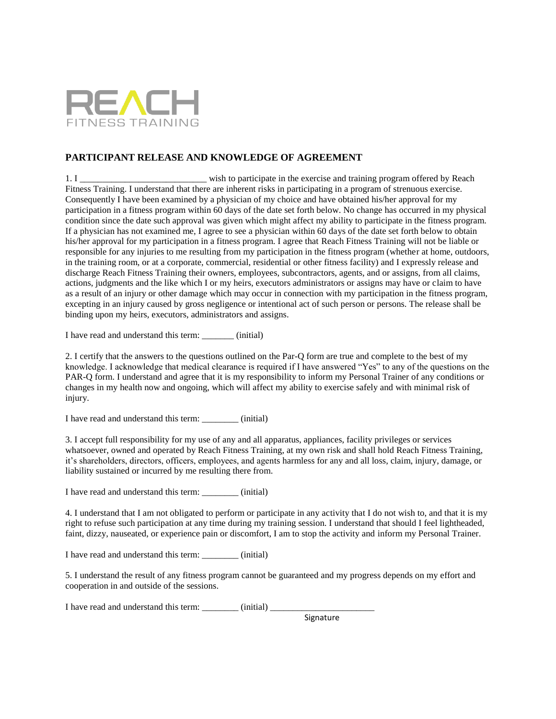

## **PARTICIPANT RELEASE AND KNOWLEDGE OF AGREEMENT**

1. I \_\_\_\_\_\_\_\_\_\_\_\_\_\_\_\_\_\_\_\_\_\_\_\_\_\_\_\_\_\_\_ wish to participate in the exercise and training program offered by Reach Fitness Training. I understand that there are inherent risks in participating in a program of strenuous exercise. Consequently I have been examined by a physician of my choice and have obtained his/her approval for my participation in a fitness program within 60 days of the date set forth below. No change has occurred in my physical condition since the date such approval was given which might affect my ability to participate in the fitness program. If a physician has not examined me, I agree to see a physician within 60 days of the date set forth below to obtain his/her approval for my participation in a fitness program. I agree that Reach Fitness Training will not be liable or responsible for any injuries to me resulting from my participation in the fitness program (whether at home, outdoors, in the training room, or at a corporate, commercial, residential or other fitness facility) and I expressly release and discharge Reach Fitness Training their owners, employees, subcontractors, agents, and or assigns, from all claims, actions, judgments and the like which I or my heirs, executors administrators or assigns may have or claim to have as a result of an injury or other damage which may occur in connection with my participation in the fitness program, excepting in an injury caused by gross negligence or intentional act of such person or persons. The release shall be binding upon my heirs, executors, administrators and assigns.

I have read and understand this term:  $(iinitial)$ 

2. I certify that the answers to the questions outlined on the Par-Q form are true and complete to the best of my knowledge. I acknowledge that medical clearance is required if I have answered "Yes" to any of the questions on the PAR-Q form. I understand and agree that it is my responsibility to inform my Personal Trainer of any conditions or changes in my health now and ongoing, which will affect my ability to exercise safely and with minimal risk of injury.

I have read and understand this term: \_\_\_\_\_\_\_\_ (initial)

3. I accept full responsibility for my use of any and all apparatus, appliances, facility privileges or services whatsoever, owned and operated by Reach Fitness Training, at my own risk and shall hold Reach Fitness Training, it's shareholders, directors, officers, employees, and agents harmless for any and all loss, claim, injury, damage, or liability sustained or incurred by me resulting there from.

I have read and understand this term: \_\_\_\_\_\_\_\_ (initial)

4. I understand that I am not obligated to perform or participate in any activity that I do not wish to, and that it is my right to refuse such participation at any time during my training session. I understand that should I feel lightheaded, faint, dizzy, nauseated, or experience pain or discomfort, I am to stop the activity and inform my Personal Trainer.

I have read and understand this term: \_\_\_\_\_\_\_\_ (initial)

5. I understand the result of any fitness program cannot be guaranteed and my progress depends on my effort and cooperation in and outside of the sessions.

I have read and understand this term: \_\_\_\_\_\_\_\_ (initial) \_\_\_\_\_\_\_\_\_\_\_\_\_\_\_\_\_\_\_\_\_\_\_

Signature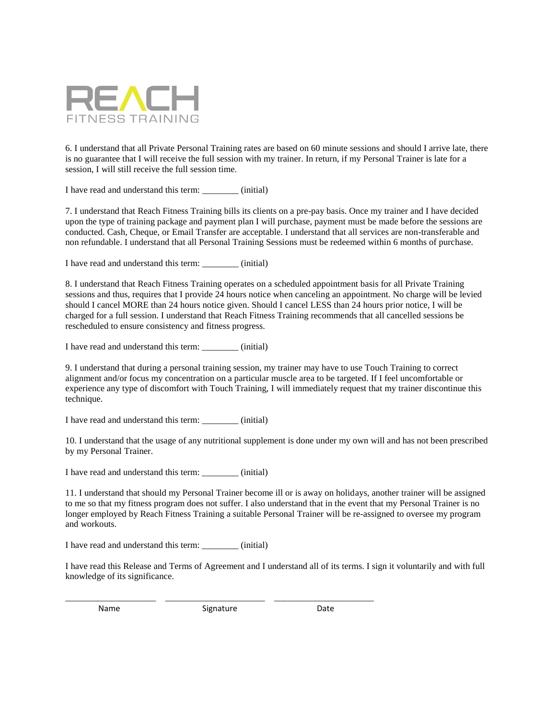

6. I understand that all Private Personal Training rates are based on 60 minute sessions and should I arrive late, there is no guarantee that I will receive the full session with my trainer. In return, if my Personal Trainer is late for a session, I will still receive the full session time.

I have read and understand this term: \_\_\_\_\_\_\_\_ (initial)

7. I understand that Reach Fitness Training bills its clients on a pre-pay basis. Once my trainer and I have decided upon the type of training package and payment plan I will purchase, payment must be made before the sessions are conducted. Cash, Cheque, or Email Transfer are acceptable. I understand that all services are non-transferable and non refundable. I understand that all Personal Training Sessions must be redeemed within 6 months of purchase.

I have read and understand this term:  $(iinitial)$ 

8. I understand that Reach Fitness Training operates on a scheduled appointment basis for all Private Training sessions and thus, requires that I provide 24 hours notice when canceling an appointment. No charge will be levied should I cancel MORE than 24 hours notice given. Should I cancel LESS than 24 hours prior notice, I will be charged for a full session. I understand that Reach Fitness Training recommends that all cancelled sessions be rescheduled to ensure consistency and fitness progress.

I have read and understand this term: \_\_\_\_\_\_\_\_ (initial)

9. I understand that during a personal training session, my trainer may have to use Touch Training to correct alignment and/or focus my concentration on a particular muscle area to be targeted. If I feel uncomfortable or experience any type of discomfort with Touch Training, I will immediately request that my trainer discontinue this technique.

I have read and understand this term: \_\_\_\_\_\_\_\_ (initial)

10. I understand that the usage of any nutritional supplement is done under my own will and has not been prescribed by my Personal Trainer.

I have read and understand this term: \_\_\_\_\_\_\_\_ (initial)

11. I understand that should my Personal Trainer become ill or is away on holidays, another trainer will be assigned to me so that my fitness program does not suffer. I also understand that in the event that my Personal Trainer is no longer employed by Reach Fitness Training a suitable Personal Trainer will be re-assigned to oversee my program and workouts.

I have read and understand this term:  $(iinitial)$ 

I have read this Release and Terms of Agreement and I understand all of its terms. I sign it voluntarily and with full knowledge of its significance.

\_\_\_\_\_\_\_\_\_\_\_\_\_\_\_\_\_\_\_\_ \_\_\_\_\_\_\_\_\_\_\_\_\_\_\_\_\_\_\_\_\_\_ \_\_\_\_\_\_\_\_\_\_\_\_\_\_\_\_\_\_\_\_\_\_ Name Signature Date